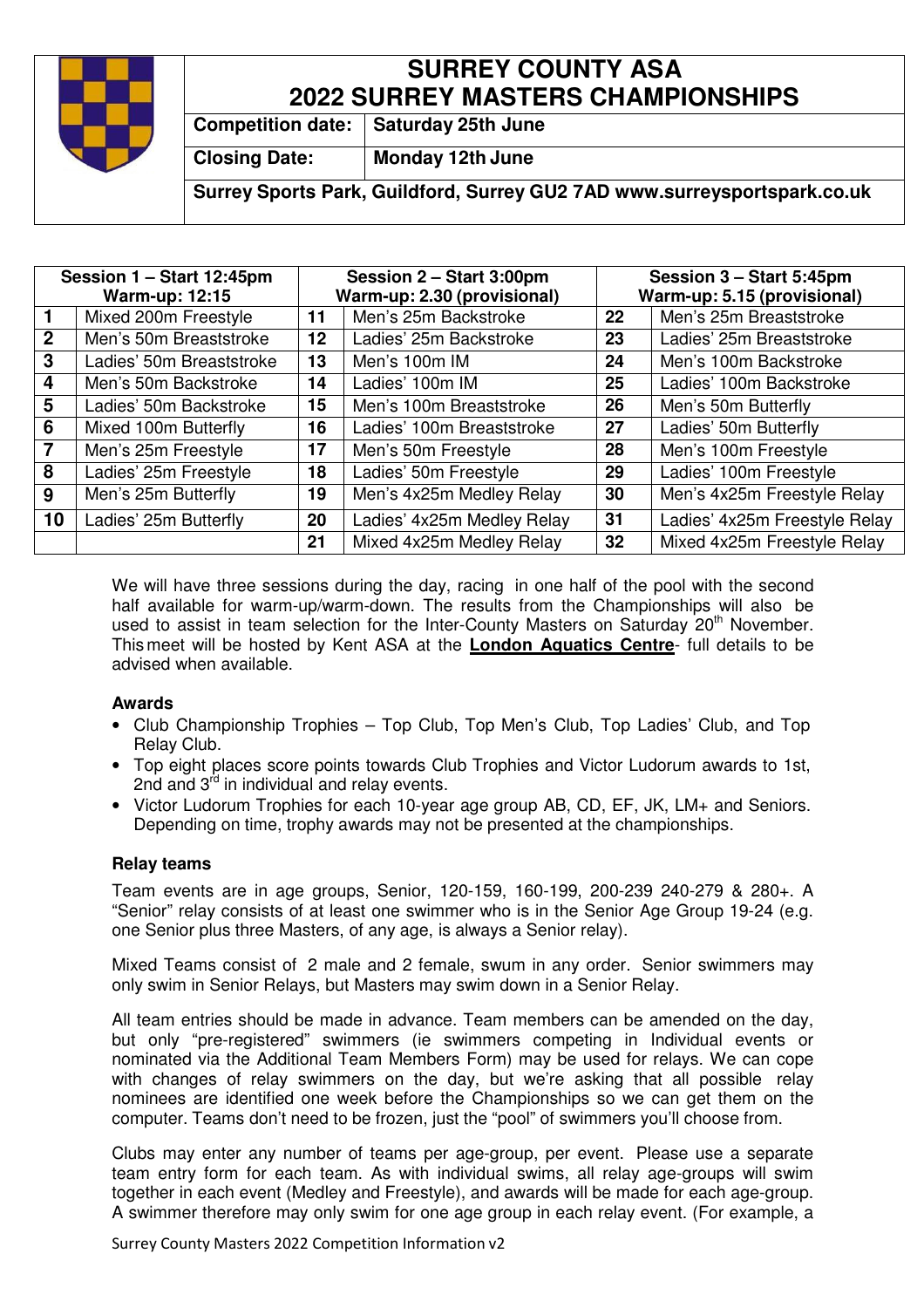

# **SURREY COUNTY ASA 2022 SURREY MASTERS CHAMPIONSHIPS**

**Competition date:** | Saturday 25th June

**Closing Date: Monday 12th June**

**Surrey Sports Park, Guildford, Surrey GU2 7AD www.surreysportspark.co.uk** 

| Session 1 - Start 12:45pm<br><b>Warm-up: 12:15</b> |                          | Session 2 - Start 3:00pm<br>Warm-up: 2.30 (provisional) |                            | Session 3 - Start 5:45pm<br>Warm-up: 5.15 (provisional) |                               |
|----------------------------------------------------|--------------------------|---------------------------------------------------------|----------------------------|---------------------------------------------------------|-------------------------------|
|                                                    | Mixed 200m Freestyle     | 11                                                      | Men's 25m Backstroke       | 22                                                      | Men's 25m Breaststroke        |
| $\mathbf{2}$                                       | Men's 50m Breaststroke   | $12 \,$                                                 | Ladies' 25m Backstroke     | 23                                                      | Ladies' 25m Breaststroke      |
| 3                                                  | Ladies' 50m Breaststroke | 13                                                      | Men's 100m IM              | 24                                                      | Men's 100m Backstroke         |
| 4                                                  | Men's 50m Backstroke     | 14                                                      | Ladies' 100m IM            | 25                                                      | Ladies' 100m Backstroke       |
| 5                                                  | Ladies' 50m Backstroke   | 15                                                      | Men's 100m Breaststroke    | 26                                                      | Men's 50m Butterfly           |
| 6                                                  | Mixed 100m Butterfly     | 16                                                      | Ladies' 100m Breaststroke  | 27                                                      | Ladies' 50m Butterfly         |
|                                                    | Men's 25m Freestyle      | 17                                                      | Men's 50m Freestyle        | 28                                                      | Men's 100m Freestyle          |
| 8                                                  | Ladies' 25m Freestyle    | 18                                                      | Ladies' 50m Freestyle      | 29                                                      | Ladies' 100m Freestyle        |
| 9                                                  | Men's 25m Butterfly      | 19                                                      | Men's 4x25m Medley Relay   | 30                                                      | Men's 4x25m Freestyle Relay   |
| 10                                                 | Ladies' 25m Butterfly    | 20                                                      | Ladies' 4x25m Medley Relay | 31                                                      | Ladies' 4x25m Freestyle Relay |
|                                                    |                          | 21                                                      | Mixed 4x25m Medley Relay   | 32                                                      | Mixed 4x25m Freestyle Relay   |

We will have three sessions during the day, racing in one half of the pool with the second half available for warm-up/warm-down. The results from the Championships will also be used to assist in team selection for the Inter-County Masters on Saturday  $20<sup>th</sup>$  November. This meet will be hosted by Kent ASA at the **London Aquatics Centre**- full details to be advised when available.

### **Awards**

- Club Championship Trophies Top Club, Top Men's Club, Top Ladies' Club, and Top Relay Club.
- Top eight places score points towards Club Trophies and Victor Ludorum awards to 1st, 2nd and 3<sup>rd</sup> in individual and relay events.
- Victor Ludorum Trophies for each 10-year age group AB, CD, EF, JK, LM+ and Seniors. Depending on time, trophy awards may not be presented at the championships.

### **Relay teams**

Team events are in age groups, Senior, 120-159, 160-199, 200-239 240-279 & 280+. A "Senior" relay consists of at least one swimmer who is in the Senior Age Group 19-24 (e.g. one Senior plus three Masters, of any age, is always a Senior relay).

Mixed Teams consist of 2 male and 2 female, swum in any order. Senior swimmers may only swim in Senior Relays, but Masters may swim down in a Senior Relay.

All team entries should be made in advance. Team members can be amended on the day, but only "pre-registered" swimmers (ie swimmers competing in Individual events or nominated via the Additional Team Members Form) may be used for relays. We can cope with changes of relay swimmers on the day, but we're asking that all possible relay nominees are identified one week before the Championships so we can get them on the computer. Teams don't need to be frozen, just the "pool" of swimmers you'll choose from.

Clubs may enter any number of teams per age-group, per event. Please use a separate team entry form for each team. As with individual swims, all relay age-groups will swim together in each event (Medley and Freestyle), and awards will be made for each age-group. A swimmer therefore may only swim for one age group in each relay event. (For example, a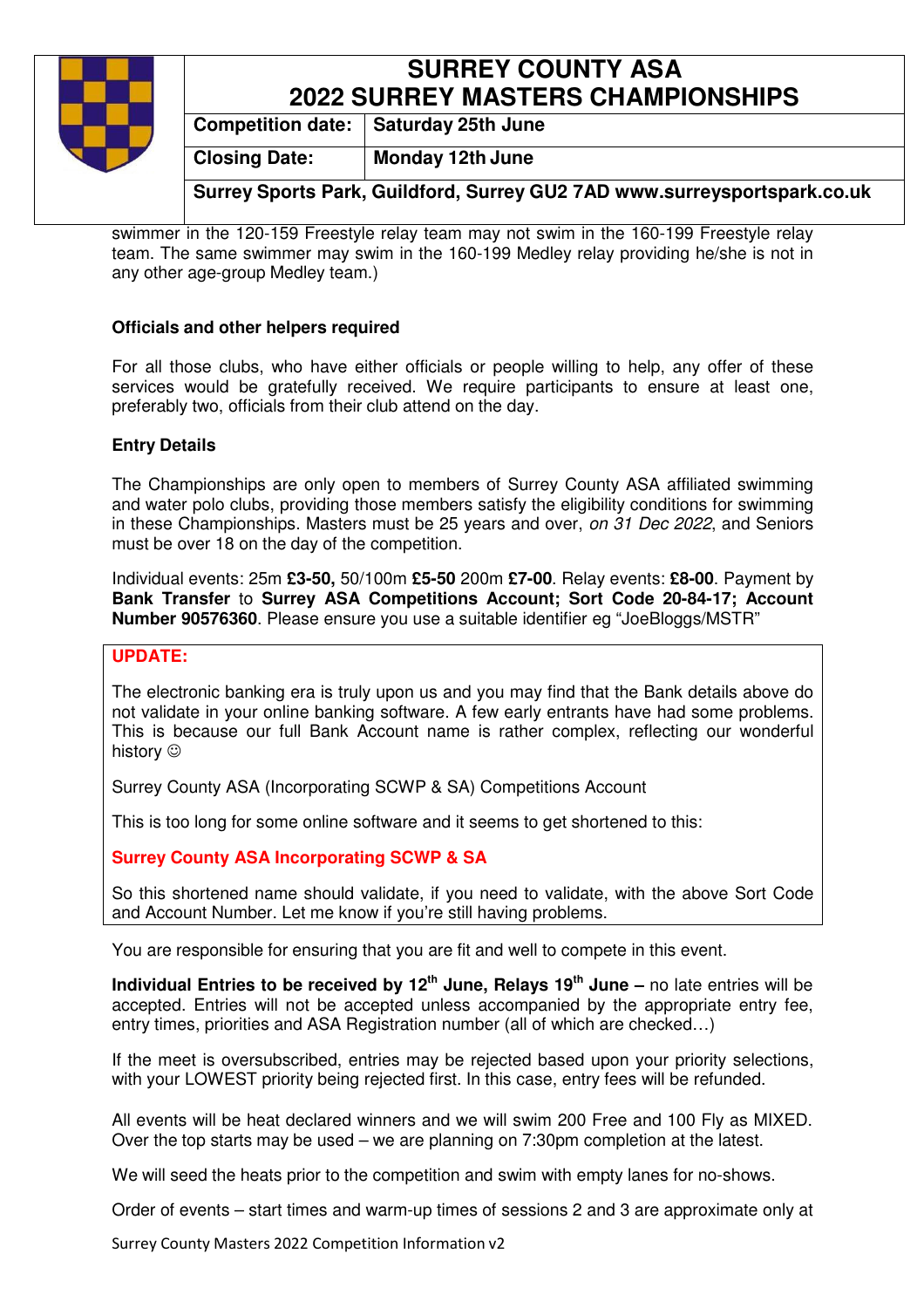### **SURREY COUNTY ASA 2022 SURREY MASTERS CHAMPIONSHIPS**

**Competition date:** | Saturday 25th June

**Closing Date: Monday 12th June**

**Surrey Sports Park, Guildford, Surrey GU2 7AD www.surreysportspark.co.uk** 

swimmer in the 120-159 Freestyle relay team may not swim in the 160-199 Freestyle relay team. The same swimmer may swim in the 160-199 Medley relay providing he/she is not in any other age-group Medley team.)

### **Officials and other helpers required**

For all those clubs, who have either officials or people willing to help, any offer of these services would be gratefully received. We require participants to ensure at least one, preferably two, officials from their club attend on the day.

#### **Entry Details**

The Championships are only open to members of Surrey County ASA affiliated swimming and water polo clubs, providing those members satisfy the eligibility conditions for swimming in these Championships. Masters must be 25 years and over, on 31 Dec 2022, and Seniors must be over 18 on the day of the competition.

Individual events: 25m **£3-50,** 50/100m **£5-50** 200m **£7-00**. Relay events: **£8-00**. Payment by **Bank Transfer** to **Surrey ASA Competitions Account; Sort Code 20-84-17; Account Number 90576360**. Please ensure you use a suitable identifier eg "JoeBloggs/MSTR"

#### **UPDATE:**

The electronic banking era is truly upon us and you may find that the Bank details above do not validate in your online banking software. A few early entrants have had some problems. This is because our full Bank Account name is rather complex, reflecting our wonderful history  $\odot$ 

Surrey County ASA (Incorporating SCWP & SA) Competitions Account

This is too long for some online software and it seems to get shortened to this:

### **Surrey County ASA Incorporating SCWP & SA**

So this shortened name should validate, if you need to validate, with the above Sort Code and Account Number. Let me know if you're still having problems.

You are responsible for ensuring that you are fit and well to compete in this event.

**Individual Entries to be received by 12th June, Relays 19th June –** no late entries will be accepted. Entries will not be accepted unless accompanied by the appropriate entry fee, entry times, priorities and ASA Registration number (all of which are checked…)

If the meet is oversubscribed, entries may be rejected based upon your priority selections, with your LOWEST priority being rejected first. In this case, entry fees will be refunded.

All events will be heat declared winners and we will swim 200 Free and 100 Fly as MIXED. Over the top starts may be used – we are planning on 7:30pm completion at the latest.

We will seed the heats prior to the competition and swim with empty lanes for no-shows.

Order of events – start times and warm-up times of sessions 2 and 3 are approximate only at

Surrey County Masters 2022 Competition Information v2